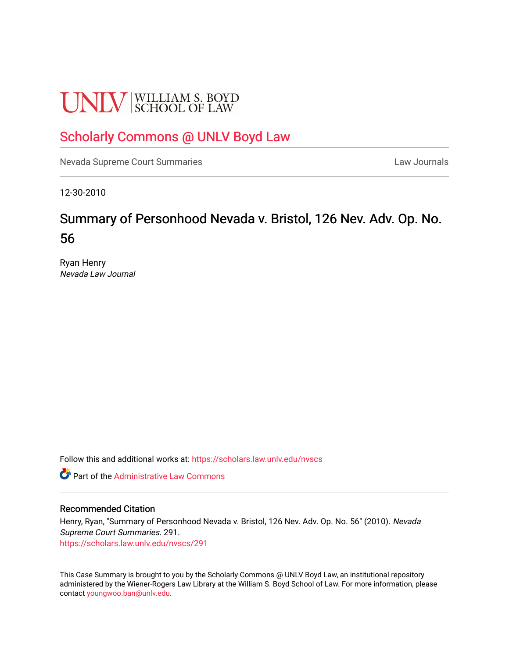# **UNLV** SCHOOL OF LAW

# [Scholarly Commons @ UNLV Boyd Law](https://scholars.law.unlv.edu/)

[Nevada Supreme Court Summaries](https://scholars.law.unlv.edu/nvscs) **Law Journals** Law Journals

12-30-2010

# Summary of Personhood Nevada v. Bristol, 126 Nev. Adv. Op. No. 56

Ryan Henry Nevada Law Journal

Follow this and additional works at: [https://scholars.law.unlv.edu/nvscs](https://scholars.law.unlv.edu/nvscs?utm_source=scholars.law.unlv.edu%2Fnvscs%2F291&utm_medium=PDF&utm_campaign=PDFCoverPages)

**C** Part of the Administrative Law Commons

#### Recommended Citation

Henry, Ryan, "Summary of Personhood Nevada v. Bristol, 126 Nev. Adv. Op. No. 56" (2010). Nevada Supreme Court Summaries. 291. [https://scholars.law.unlv.edu/nvscs/291](https://scholars.law.unlv.edu/nvscs/291?utm_source=scholars.law.unlv.edu%2Fnvscs%2F291&utm_medium=PDF&utm_campaign=PDFCoverPages)

This Case Summary is brought to you by the Scholarly Commons @ UNLV Boyd Law, an institutional repository administered by the Wiener-Rogers Law Library at the William S. Boyd School of Law. For more information, please contact [youngwoo.ban@unlv.edu](mailto:youngwoo.ban@unlv.edu).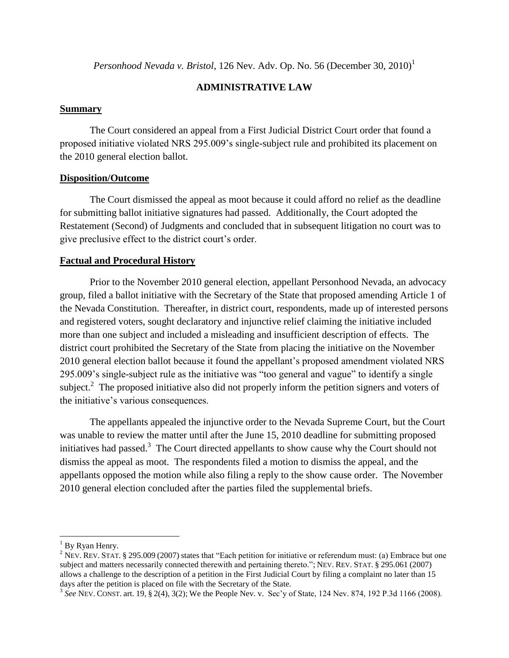*Personhood Nevada v. Bristol*, 126 Nev. Adv. Op. No. 56 (December 30, 2010)<sup>1</sup>

## **ADMINISTRATIVE LAW**

#### **Summary**

The Court considered an appeal from a First Judicial District Court order that found a proposed initiative violated NRS 295.009's single-subject rule and prohibited its placement on the 2010 general election ballot.

## **Disposition/Outcome**

The Court dismissed the appeal as moot because it could afford no relief as the deadline for submitting ballot initiative signatures had passed. Additionally, the Court adopted the Restatement (Second) of Judgments and concluded that in subsequent litigation no court was to give preclusive effect to the district court's order.

## **Factual and Procedural History**

Prior to the November 2010 general election, appellant Personhood Nevada, an advocacy group, filed a ballot initiative with the Secretary of the State that proposed amending Article 1 of the Nevada Constitution. Thereafter, in district court, respondents, made up of interested persons and registered voters, sought declaratory and injunctive relief claiming the initiative included more than one subject and included a misleading and insufficient description of effects. The district court prohibited the Secretary of the State from placing the initiative on the November 2010 general election ballot because it found the appellant's proposed amendment violated NRS 295.009's single-subject rule as the initiative was "too general and vague" to identify a single subject.<sup>2</sup> The proposed initiative also did not properly inform the petition signers and voters of the initiative's various consequences.

The appellants appealed the injunctive order to the Nevada Supreme Court, but the Court was unable to review the matter until after the June 15, 2010 deadline for submitting proposed initiatives had passed.<sup>3</sup> The Court directed appellants to show cause why the Court should not dismiss the appeal as moot. The respondents filed a motion to dismiss the appeal, and the appellants opposed the motion while also filing a reply to the show cause order. The November 2010 general election concluded after the parties filed the supplemental briefs.

l

 $<sup>1</sup>$  By Ryan Henry.</sup>

<sup>&</sup>lt;sup>2</sup> NEV. REV. STAT. § 295.009 (2007) states that "Each petition for initiative or referendum must: (a) Embrace but one subject and matters necessarily connected therewith and pertaining thereto."; NEV. REV. STAT. § 295.061 (2007) allows a challenge to the description of a petition in the First Judicial Court by filing a complaint no later than 15 days after the petition is placed on file with the Secretary of the State.

<sup>3</sup> *See* NEV. CONST. art. 19, § 2(4), 3(2); We the People Nev. v. Sec'y of State, 124 Nev. 874, 192 P.3d 1166 (2008).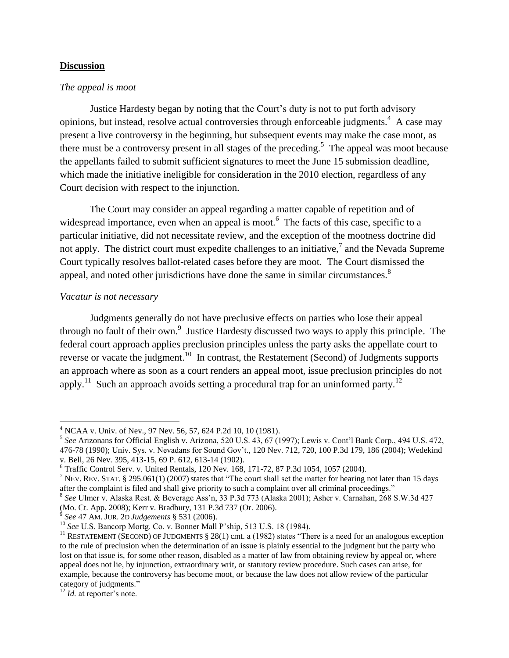#### **Discussion**

## *The appeal is moot*

Justice Hardesty began by noting that the Court's duty is not to put forth advisory opinions, but instead, resolve actual controversies through enforceable judgments.<sup>4</sup> A case may present a live controversy in the beginning, but subsequent events may make the case moot, as there must be a controversy present in all stages of the preceding.<sup>5</sup> The appeal was moot because the appellants failed to submit sufficient signatures to meet the June 15 submission deadline, which made the initiative ineligible for consideration in the 2010 election, regardless of any Court decision with respect to the injunction.

The Court may consider an appeal regarding a matter capable of repetition and of widespread importance, even when an appeal is moot.<sup>6</sup> The facts of this case, specific to a particular initiative, did not necessitate review, and the exception of the mootness doctrine did not apply. The district court must expedite challenges to an initiative,<sup>7</sup> and the Nevada Supreme Court typically resolves ballot-related cases before they are moot. The Court dismissed the appeal, and noted other jurisdictions have done the same in similar circumstances. $8$ 

#### *Vacatur is not necessary*

Judgments generally do not have preclusive effects on parties who lose their appeal through no fault of their own.<sup>9</sup> Justice Hardesty discussed two ways to apply this principle. The federal court approach applies preclusion principles unless the party asks the appellate court to reverse or vacate the judgment.<sup>10</sup> In contrast, the Restatement (Second) of Judgments supports an approach where as soon as a court renders an appeal moot, issue preclusion principles do not apply.<sup>11</sup> Such an approach avoids setting a procedural trap for an uninformed party.<sup>12</sup>

 $\overline{a}$ 

<sup>&</sup>lt;sup>4</sup> NCAA v. Univ. of Nev., 97 Nev. 56, 57, 624 P.2d 10, 10 (1981).

<sup>5</sup> *See* Arizonans for Official English v. Arizona, 520 U.S. 43, 67 (1997); Lewis v. Cont'l Bank Corp., 494 U.S. 472, 476-78 (1990); Univ. Sys. v. Nevadans for Sound Gov't., 120 Nev. 712, 720, 100 P.3d 179, 186 (2004); Wedekind v. Bell, 26 Nev. 395, 413-15, 69 P. 612, 613-14 (1902).

<sup>6</sup> Traffic Control Serv. v. United Rentals, 120 Nev. 168, 171-72, 87 P.3d 1054, 1057 (2004).

<sup>&</sup>lt;sup>7</sup> NEV. REV. STAT. § 295.061(1) (2007) states that "The court shall set the matter for hearing not later than 15 days after the complaint is filed and shall give priority to such a complaint over all criminal proceedings."

<sup>8</sup> *See* Ulmer v. Alaska Rest. & Beverage Ass'n, 33 P.3d 773 (Alaska 2001); Asher v. Carnahan, 268 S.W.3d 427 (Mo. Ct. App. 2008); Kerr v. Bradbury, 131 P.3d 737 (Or. 2006).

<sup>9</sup> *See* 47 AM. JUR. 2D *Judgements* § 531 (2006).

<sup>10</sup> *See* U.S. Bancorp Mortg. Co. v. Bonner Mall P'ship, 513 U.S. 18 (1984).

<sup>&</sup>lt;sup>11</sup> RESTATEMENT (SECOND) OF JUDGMENTS  $\S 28(1)$  cmt. a (1982) states "There is a need for an analogous exception to the rule of preclusion when the determination of an issue is plainly essential to the judgment but the party who lost on that issue is, for some other reason, disabled as a matter of law from obtaining review by appeal or, where appeal does not lie, by injunction, extraordinary writ, or statutory review procedure. Such cases can arise, for example, because the controversy has become moot, or because the law does not allow review of the particular category of judgments."

<sup>&</sup>lt;sup>12</sup> *Id.* at reporter's note.